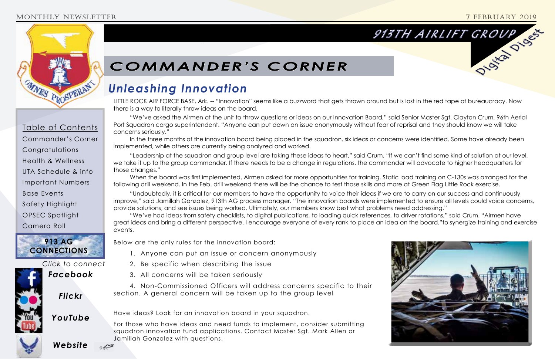LITTLE ROCK AIR FORCE BASE, Ark. -- "Innovation" seems like a buzzword that gets thrown around but is lost in the red tape of bureaucracy. Now there is a way to literally throw ideas on the board.

"We've asked the Airmen at the unit to throw questions or ideas on our Innovation Board," said Senior Master Sgt. Clayton Crum, 96th Aerial Port Squadron cargo superintendent. "Anyone can put down an issue anonymously without fear of reprisal and they should know we will take concerns seriously."

 In the three months of the innovation board being placed in the squadron, six ideas or concerns were identified. Some have already been implemented, while others are currently being analyzed and worked.

 "Leadership at the squadron and group level are taking these ideas to heart," said Crum. "If we can't find some kind of solution at our level, we take it up to the group commander. If there needs to be a change in regulations, the commander will advocate to higher headquarters for those changes."

 When the board was first implemented, Airmen asked for more opportunities for training. Static load training on C-130s was arranged for the following drill weekend. In the Feb. drill weekend there will be the chance to test those skills and more at Green Flag Little Rock exercise.

"Undoubtedly, it is critical for our members to have the opportunity to voice their ideas if we are to carry on our success and continuously improve," said Jamillah Gonzalez, 913th AG process manager. "The innovation boards were implemented to ensure all levels could voice concerns, provide solutions, and see issues being worked. Ultimately, our members know best what problems need addressing."

"We've had ideas from safety checklists, to digital publications, to loading quick references, to driver rotations," said Crum. "Airmen have great ideas and bring a different perspective. I encourage everyone of every rank to place an idea on the board."to synergize training and exercise events.

#### Monthly Newsletter 7 February 2019



Table of Contents Commander's Corner Congratulations Health & Wellness UTA Schedule & info Important Numbers Base Events Safety Highlight OPSEC Spotlight Camera Roll

# *Unleashing Innovation*



*Flickr*

*YouTube*







# *COMMANDER'S CORNER*

Below are the only rules for the innovation board:

- 1. Anyone can put an issue or concern anonymously
- 2. Be specific when describing the issue
- 3. All concerns will be taken seriously

4. Non-Commissioned Officers will address concerns specific to their section. A general concern will be taken up to the group level

Have ideas? Look for an innovation board in your squadron.

For those who have ideas and need funds to implement, consider submitting squadron innovation fund applications. Contact Master Sgt. Mark Allen or Jamillah Gonzalez with questions.

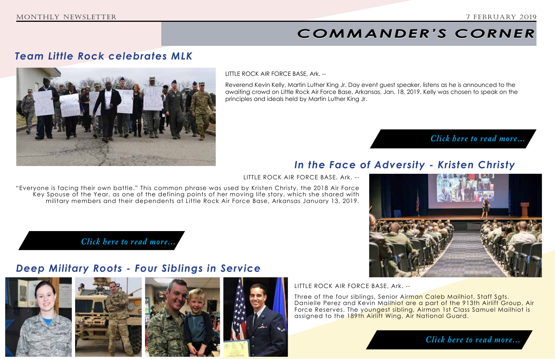# *Team Little Rock celebrates MLK*



# *COMMANDER'S CORNER*

LITTLE ROCK AIR FORCE BASE, Ark. --

Reverend Kevin Kelly, Martin Luther King Jr. Day event guest speaker, listens as he is announced to the awaiting crowd on Little Rock Air Force Base, Arkansas, Jan. 18, 2019. Kelly was chosen to speak on the principles and ideals held by Martin Luther King Jr.

### *[Click here to read more...](https://www.913ag.afrc.af.mil/News/Article-Display/Article/1739272/team-little-rock-celebrates-mlk/)*

LITTLE ROCK AIR FORCE BASE, Ark. --

"Everyone is facing their own battle." This common phrase was used by Kristen Christy, the 2018 Air Force Key Spouse of the Year, as one of the defining points of her moving life story, which she shared with military members and their dependents at Little Rock Air Force Base, Arkansas January 13, 2019.



# *In the Face of Adversity - Kristen Christy*

LITTLE ROCK AIR FORCE BASE, Ark. --

Three of the four siblings, Senior Airman Caleb Mailhiot, Staff Sgts. Danielle Perez and Kevin Mailhiot are a part of the 913th Airlift Group, Air Force Reserves. The youngest sibling, Airman 1st Class Samuel Mailhiot is assigned to the 189th Airlift Wing, Air National Guard.

*[Click here to read more...](https://www.913ag.afrc.af.mil/News/Article/1731440/in-the-face-of-adversity-kristen-christy/)*

### *[Click here to read more...](https://www.913ag.afrc.af.mil/News/Article-Display/Article/1721699/deep-military-roots-four-siblings-in-service/)*

# *Deep Military Roots - Four Siblings in Service*







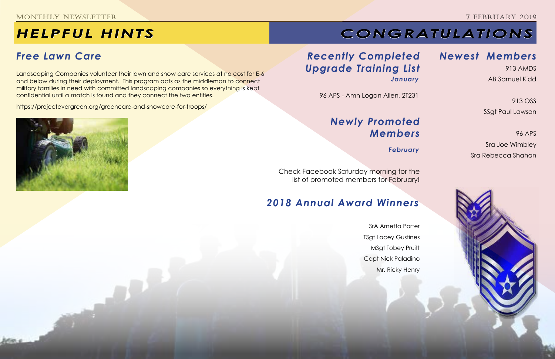#### Monthly Newsletter 7 February 2019

# *Recently Completed Upgrade Training List*

# *CONGRATULATIONS*

96 APS - Amn Logan Allen, 2T231

*January*

# *HELPFUL HINTS*

Landscaping Companies volunteer their lawn and snow care services at no cost for E-6 and below during their deployment. This program acts as the middleman to connect military families in need with committed landscaping companies so everything is kept confidential until a match is found and they connect the two entities.

[https://projectevergreen.org/greencare-](https://projectevergreen.org/greencare)and-snowcare-for-troops/

# *Free Lawn Care*

# *2018 Annual Award Winners*

913 AMDS AB Samuel Kidd

> 913 OSS SSgt Paul Lawson

96 APS Sra Joe Wimbley Sra Rebecca Shahan



# *Newest Members*

# *Newly Promoted Members*

*February*

Check Facebook Saturday morning for the list of promoted members for February!

> SrA Arnetta Porter TSgt Lacey Gustines MSgt Tobey Pruitt Capt Nick Paladino Mr. Ricky Henry

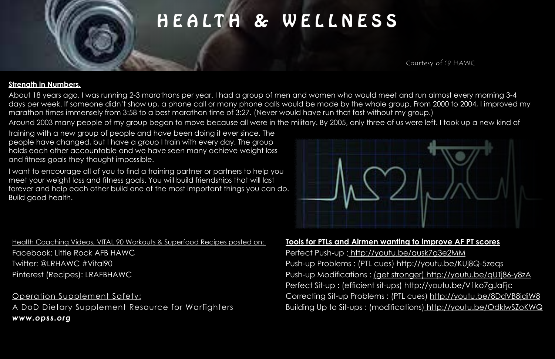#### **Strength in Numbers.**

About 18 years ago, I was running 2-3 marathons per year. I had a group of men and women who would meet and run almost every morning 3-4 days per week. If someone didn't show up, a phone call or many phone calls would be made by the whole group. From 2000 to 2004, I improved my marathon times immensely from 3:58 to a best marathon time of 3:27. (Never would have run that fast without my group.) Around 2003 many people of my group began to move because all were in the military. By 2005, only three of us were left. I took up a new kind of



### Courtesy of 19 HAWC

Health Coaching Videos, VITAL 90 Workouts & Superfood Recipes posted on: Facebook: Little Rock AFB HAWC Twitter: @LRHAWC #Vital90 Pinterest (Recipes): LRAFBHAWC

Operation Supplement Safety: A DoD Dietary Supplement Resource for Warfighters *www.opss.org*



### **Tools for PTLs and Airmen wanting to improve AF PT scores**

Perfect Push-up : http://youtu.be/qusk7g3e2MM Push-up Problems : (PTL cues) http://youtu.be/KUj8Q-5zeqs Push-up Modifications : (get stronger) http://youtu.be/qUTj86-y8zA Perfect Sit-up : (efficient sit-ups) http://youtu.be/V1ko7gJaFjc Correcting Sit-up Problems : (PTL cues) http://youtu.be/8DdVB8jdiW8 Building Up to Sit-ups : (modifications) http://youtu.be/OdklwSZoKWQ

training with a new group of people and have been doing it ever since. The people have changed, but I have a group I train with every day. The group holds each other accountable and we have seen many achieve weight loss and fitness goals they thought impossible.

I want to encourage all of you to find a training partner or partners to help you meet your weight loss and fitness goals. You will build friendships that will last forever and help each other build one of the most important things you can do. Build good health.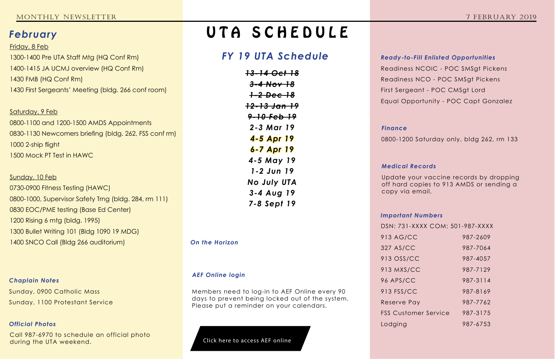#### MONTHLY NEWSLETTER 7 SERVARY 2019

# *February*

Friday, 8 Feb 1300-1400 Pre UTA Staff Mtg (HQ Conf Rm) 1400-1415 JA UCMJ overview (HQ Conf Rm) 1430 FMB (HQ Conf Rm) 1430 First Sergeants' Meeting (bldg. 266 conf room)

#### Saturday, 9 Feb

0800-1100 and 1200-1500 AMDS Appointments 0830-1130 Newcomers briefing (bldg. 262, FSS conf rm) 1000 2-ship flight 1500 Mock PT Test in HAWC

#### Sunday, 10 Feb

0730-0900 Fitness Testing (HAWC) 0800-1000, Supervisor Safety Trng (bldg. 284, rm 111) EOC/PME testing (Base Ed Center) Rising 6 mtg (bldg. 1995) Bullet Writing 101 (Bldg 1090 19 MDG) SNCO Call (Bldg 266 auditorium)

# *FY 19 UTA Schedule*

# UTA SCHEDULE

#### *Chaplain Notes*

Sunday, 0900 Catholic Mass Sunday, 1100 Protestant Service

*13-14 Oct 18 3-4 Nov 18 1-2 Dec 18 12-13 Jan 19 9-10 Feb 19 2-3 Mar 19 4-5 Apr 19 6-7 Apr 19 4-5 May 19 1-2 Jun 19 No July UTA 3-4 Aug 19 7-8 Sept 19*

#### *Medical Records*

Update your vaccine records by dropping off hard copies to 913 AMDS or sending a

| -XXXX COM: 501-987-XXXX |          |
|-------------------------|----------|
| СC                      | 987-2609 |
| $\overline{C}$          | 987-7064 |
| <b>CC</b>               | 987-4057 |
| /CC                     | 987-7129 |
| $\overline{C}$          | 987-3114 |
| СC                      | 987-8169 |
| Pay                     | 987-7762 |
| omer Service            | 987-3175 |
|                         | 987-6753 |

copy via email.

### *Ready-to-Fill Enlisted Opportunities* Readiness NCOIC - POC SMSgt Pickens Readiness NCO - POC SMSgt Pickens First Sergeant - POC CMSgt Lord Equal Opportunity - POC Capt Gonzalez

# *Finance*

0800-1200 Saturday only, bldg 262, rm 133

#### *Important Numbers*

DSN: 731  $913$  AG/C 327 AS/C  $913$  OSS/  $913$  MXS 96 APS/C  $913$  FSS/C Reserve FSS Custo Lodging

Members need to log-in to AEF Online every 90 days to prevent being locked out of the system. Please put a reminder on your calendars.

#### *AEF Online login*

[Click here to access AEF online](https://aef.afpc.randolph.af.mil/default.aspx)

#### *On the Horizon*

#### *Official Photos*

Call 987-6970 to schedule an official photo during the UTA weekend.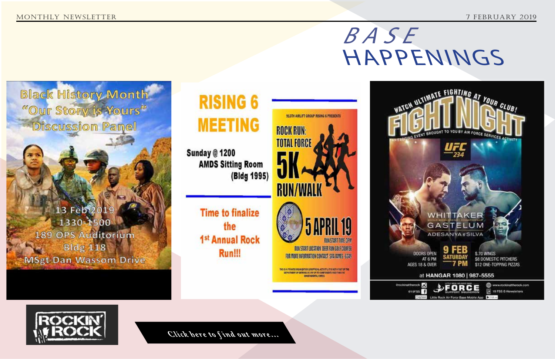



# BASE

**Black History Month** "Our Story is Yours" **Discussion Panel** 

13 Feb 2019 1330-1500 189 OPS Auditorium **Bldg 118 MSgt Dan Wassom Drive** 

# **RISING 6 MEETING**

**Sunday @ 1200 AMDS Sitting Room** (Bidg 1995)

> **Time to finalize** the 1st Annual Rock Run!!!



THIS IS A PERMIT CREAK DATION SHOPPICH, ACTIVITY, IT IS NOT A FIRST OF THE DEPARTMENT OF DEPENDING OR AND THE RESIDENCE CONSUMENTAL STORIES

*[Click here to f](https://www.rockinattherock.com/) ind out more...*

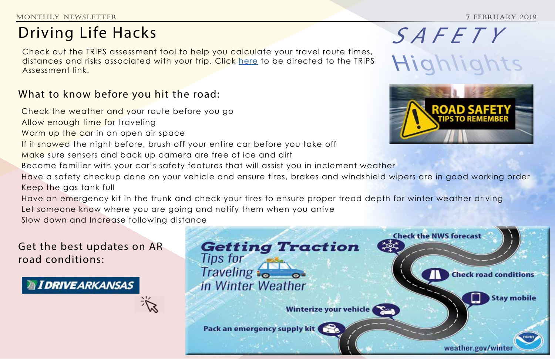

Check out the TRiPS assessment tool to help you calculate your travel route times, distances and risks associated with your trip. Click [here](https://trips.safety.army.mil/TRiPS) to be directed to the TRiPS Assessment link.

# What to know before you hit the road:

# Driving Life Hacks

If it snowed the night before, brush off your entire car before you take off Make sure sensors and back up camera are free of ice and dirt

# Get the best updates on AR road conditions:





Check the weather and your route before you go

Allow enough time for traveling

Warm up the car in an open air space

Become familiar with your car's safety features that will assist you in inclement weather Have a safety checkup done on your vehicle and ensure tires, brakes and windshield wipers are in good working order Keep the gas tank full

Have an emergency kit in the trunk and check your tires to ensure proper tread depth for winter weather driving Let someone know where you are going and notify them when you arrive Slow down and Increase following distance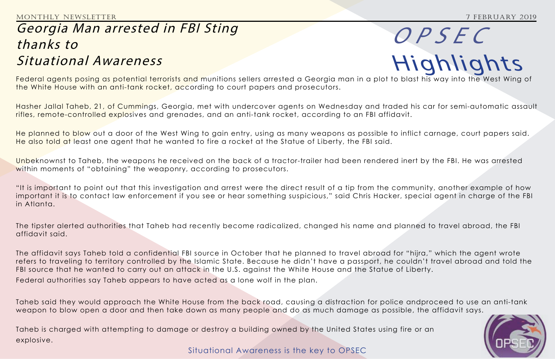# Highlights OPSEC



Federal agents posing as potential terrorists and munitions sellers arrested a Georgia man in a plot to blast his way into the West Wing of the White House with an anti-tank rocket, according to court papers and prosecutors.

He planned to blow out a door of the West Wing to gain entry, using as many weapons as possible to inflict carnage, court papers said. He also told at least one agent that he wanted to fire a rocket at the Statue of Liberty, the FBI said.

Unbeknownst to Taheb, the weapons he received on the back of a tractor-trailer had been rendered inert by the FBI. He was arrested within moments of "obtaining" the weaponry, according to prosecutors.

Hasher Jallal Taheb, 21, of Cummings, Georgia, met with undercover agents on Wednesday and traded his car for semi-automatic assault rifles, remote-controlled explosives and grenades, and an anti-tank rocket, according to an FBI affidavit.

"It is important to point out that this investigation and arrest were the direct result of a tip from the community, another example of how important it is to contact law enforcement if you see or hear something suspicious," said Chris Hacker, special agent in charge of the FBI in Atlanta.

The tipster alerted authorities that Taheb had recently become radicalized, changed his name and planned to travel abroad, the FBI affidavit said.

The affidavit says Taheb told a confidential FBI source in October that he planned to travel abroad for "hijra," which the agent wrote refers to traveling to territory controlled by the Islamic State. Because he didn't have a passport, he couldn't travel abroad and told the FBI source that he wanted to carry out an attack in the U.S. against the White House and the Statue of Liberty. Federal authorities say Taheb appears to have acted as a lone wolf in the plan.

Taheb said they would approach the White House from the back road, causing a distraction for police andproceed to use an anti-tank weapon to blow open a door and then take down as many people and do as much damage as possible, the affidavit says.

Taheb is charged with attempting to damage or destroy a building owned by the United States using fire or an explosive.

Situational Awareness is the key to OPSEC

# Georgia Man arrested in FBI Sting thanks to Situational Awareness